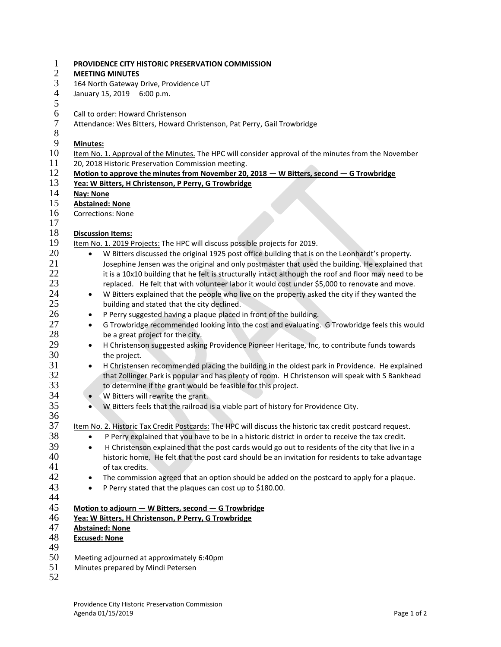| $\mathbf{1}$             | PROVIDENCE CITY HISTORIC PRESERVATION COMMISSION                                                              |  |  |
|--------------------------|---------------------------------------------------------------------------------------------------------------|--|--|
| $\mathbf{2}$<br>3        | <b>MEETING MINUTES</b>                                                                                        |  |  |
| $\overline{\mathcal{A}}$ | 164 North Gateway Drive, Providence UT<br>January 15, 2019 6:00 p.m.                                          |  |  |
| $\mathfrak s$            |                                                                                                               |  |  |
| 6                        | Call to order: Howard Christenson                                                                             |  |  |
| 7                        | Attendance: Wes Bitters, Howard Christenson, Pat Perry, Gail Trowbridge                                       |  |  |
| $8\,$                    |                                                                                                               |  |  |
| 9                        | Minutes:                                                                                                      |  |  |
| 10                       | Item No. 1. Approval of the Minutes. The HPC will consider approval of the minutes from the November          |  |  |
| 11                       | 20, 2018 Historic Preservation Commission meeting.                                                            |  |  |
| 12                       | Motion to approve the minutes from November 20, 2018 - W Bitters, second - G Trowbridge                       |  |  |
| 13                       | Yea: W Bitters, H Christenson, P Perry, G Trowbridge                                                          |  |  |
| 14                       | <b>Nay: None</b>                                                                                              |  |  |
| 15                       | <b>Abstained: None</b>                                                                                        |  |  |
| 16                       | <b>Corrections: None</b>                                                                                      |  |  |
| 17                       |                                                                                                               |  |  |
| 18                       | <b>Discussion Items:</b>                                                                                      |  |  |
| 19                       | Item No. 1. 2019 Projects: The HPC will discuss possible projects for 2019.                                   |  |  |
| 20                       | W Bitters discussed the original 1925 post office building that is on the Leonhardt's property.<br>$\bullet$  |  |  |
| 21                       | Josephine Jensen was the original and only postmaster that used the building. He explained that               |  |  |
| 22                       | it is a 10x10 building that he felt is structurally intact although the roof and floor may need to be         |  |  |
| 23                       | replaced. He felt that with volunteer labor it would cost under \$5,000 to renovate and move.                 |  |  |
| 24                       | W Bitters explained that the people who live on the property asked the city if they wanted the<br>$\bullet$   |  |  |
| 25                       | building and stated that the city declined.                                                                   |  |  |
| 26                       | P Perry suggested having a plaque placed in front of the building.<br>$\bullet$                               |  |  |
| 27                       | G Trowbridge recommended looking into the cost and evaluating. G Trowbridge feels this would<br>$\bullet$     |  |  |
| 28                       | be a great project for the city.                                                                              |  |  |
| 29                       | H Christenson suggested asking Providence Pioneer Heritage, Inc, to contribute funds towards<br>$\bullet$     |  |  |
| 30                       | the project.                                                                                                  |  |  |
| 31                       | H Christensen recommended placing the building in the oldest park in Providence. He explained<br>$\bullet$    |  |  |
| 32                       | that Zollinger Park is popular and has plenty of room. H Christenson will speak with S Bankhead               |  |  |
| 33                       | to determine if the grant would be feasible for this project.                                                 |  |  |
| 34                       | W Bitters will rewrite the grant.<br>$\bullet$                                                                |  |  |
| 35                       | W Bitters feels that the railroad is a viable part of history for Providence City.<br>$\bullet$               |  |  |
| 36                       |                                                                                                               |  |  |
| 37                       | Item No. 2. Historic Tax Credit Postcards: The HPC will discuss the historic tax credit postcard request.     |  |  |
| 38                       | P Perry explained that you have to be in a historic district in order to receive the tax credit.              |  |  |
| 39                       | H Christenson explained that the post cards would go out to residents of the city that live in a<br>$\bullet$ |  |  |
| 40                       | historic home. He felt that the post card should be an invitation for residents to take advantage             |  |  |
| 41                       | of tax credits.                                                                                               |  |  |
| 42                       | The commission agreed that an option should be added on the postcard to apply for a plaque.<br>$\bullet$      |  |  |
| 43                       | P Perry stated that the plaques can cost up to \$180.00.<br>$\bullet$                                         |  |  |
| 44                       |                                                                                                               |  |  |
| 45                       | Motion to adjourn - W Bitters, second - G Trowbridge                                                          |  |  |
| 46<br>47                 | Yea: W Bitters, H Christenson, P Perry, G Trowbridge                                                          |  |  |
| 48                       | <b>Abstained: None</b>                                                                                        |  |  |
| 49                       | <b>Excused: None</b>                                                                                          |  |  |
| 50                       | Meeting adjourned at approximately 6:40pm                                                                     |  |  |
| 51                       | Minutes prepared by Mindi Petersen                                                                            |  |  |
| 52                       |                                                                                                               |  |  |
|                          |                                                                                                               |  |  |